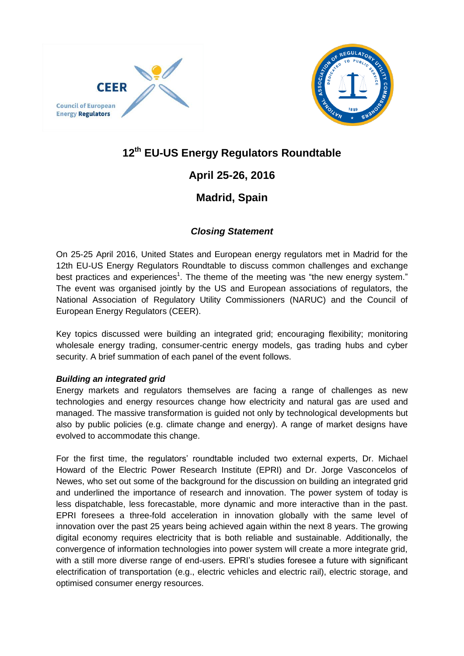



## **12th EU-US Energy Regulators Roundtable**

# **April 25-26, 2016**

### **Madrid, Spain**

### *Closing Statement*

On 25-25 April 2016, United States and European energy regulators met in Madrid for the [12th EU-US Energy Regulators Roundtable](http://www.energy-regulators.eu/portal/page/portal/EER_HOME/EER_INTERNATIONAL/EU-US%20Roundtable/10supthsup%20EU-US%20Roundtable) to discuss common challenges and exchange best practices and experiences<sup>[1](#page-4-0)</sup>. The theme of the meeting was "the new energy system." The event was organised jointly by the US and European associations of regulators, the National Association of Regulatory Utility Commissioners (NARUC) and the Council of European Energy Regulators (CEER).

Key topics discussed were building an integrated grid; encouraging flexibility; monitoring wholesale energy trading, consumer-centric energy models, gas trading hubs and cyber security. A brief summation of each panel of the event follows.

### *Building an integrated grid*

Energy markets and regulators themselves are facing a range of challenges as new technologies and energy resources change how electricity and natural gas are used and managed. The massive transformation is guided not only by technological developments but also by public policies (e.g. climate change and energy). A range of market designs have evolved to accommodate this change.

For the first time, the regulators' roundtable included two external experts, Dr. Michael Howard of the Electric Power Research Institute (EPRI) and Dr. Jorge Vasconcelos of Newes, who set out some of the background for the discussion on building an integrated grid and underlined the importance of research and innovation. The power system of today is less dispatchable, less forecastable, more dynamic and more interactive than in the past. EPRI foresees a three-fold acceleration in innovation globally with the same level of innovation over the past 25 years being achieved again within the next 8 years. The growing digital economy requires electricity that is both reliable and sustainable. Additionally, the convergence of information technologies into power system will create a more integrate grid, with a still more diverse range of end-users. EPRI's studies foresee a future with significant electrification of transportation (e.g., electric vehicles and electric rail), electric storage, and optimised consumer energy resources.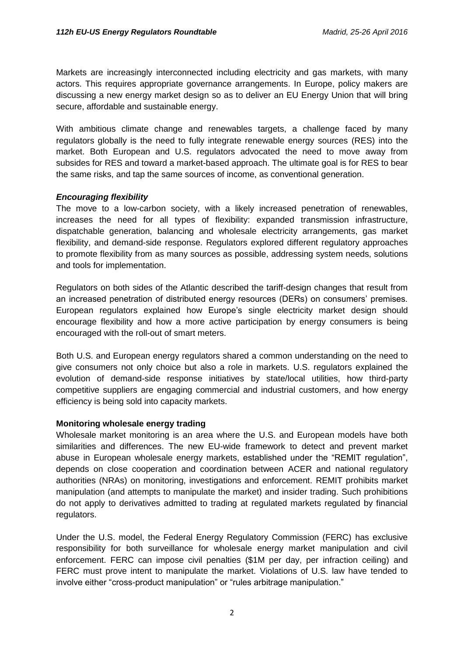Markets are increasingly interconnected including electricity and gas markets, with many actors. This requires appropriate governance arrangements. In Europe, policy makers are discussing a new energy market design so as to deliver an EU Energy Union that will bring secure, affordable and sustainable energy.

With ambitious climate change and renewables targets, a challenge faced by many regulators globally is the need to fully integrate renewable energy sources (RES) into the market. Both European and U.S. regulators advocated the need to move away from subsides for RES and toward a market-based approach. The ultimate goal is for RES to bear the same risks, and tap the same sources of income, as conventional generation.

#### *Encouraging flexibility*

The move to a low-carbon society, with a likely increased penetration of renewables, increases the need for all types of flexibility: expanded transmission infrastructure, dispatchable generation, balancing and wholesale electricity arrangements, gas market flexibility, and demand-side response. Regulators explored different regulatory approaches to promote flexibility from as many sources as possible, addressing system needs, solutions and tools for implementation.

Regulators on both sides of the Atlantic described the tariff-design changes that result from an increased penetration of distributed energy resources (DERs) on consumers' premises. European regulators explained how Europe's single electricity market design should encourage flexibility and how a more active participation by energy consumers is being encouraged with the roll-out of smart meters.

Both U.S. and European energy regulators shared a common understanding on the need to give consumers not only choice but also a role in markets. U.S. regulators explained the evolution of demand-side response initiatives by state/local utilities, how third-party competitive suppliers are engaging commercial and industrial customers, and how energy efficiency is being sold into capacity markets.

#### **Monitoring wholesale energy trading**

Wholesale market monitoring is an area where the U.S. and European models have both similarities and differences. The new EU-wide framework to detect and prevent market abuse in European wholesale energy markets, established under the "REMIT regulation", depends on close cooperation and coordination between ACER and national regulatory authorities (NRAs) on monitoring, investigations and enforcement. REMIT prohibits market manipulation (and attempts to manipulate the market) and insider trading. Such prohibitions do not apply to derivatives admitted to trading at regulated markets regulated by financial regulators.

Under the U.S. model, the Federal Energy Regulatory Commission (FERC) has exclusive responsibility for both surveillance for wholesale energy market manipulation and civil enforcement. FERC can impose civil penalties (\$1M per day, per infraction ceiling) and FERC must prove intent to manipulate the market. Violations of U.S. law have tended to involve either "cross-product manipulation" or "rules arbitrage manipulation."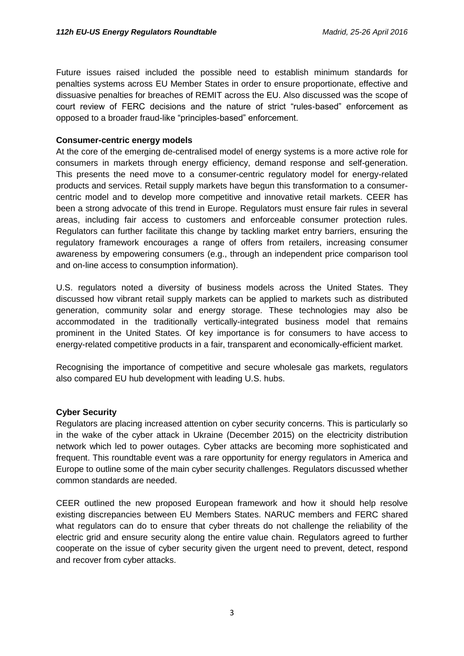Future issues raised included the possible need to establish minimum standards for penalties systems across EU Member States in order to ensure proportionate, effective and dissuasive penalties for breaches of REMIT across the EU. Also discussed was the scope of court review of FERC decisions and the nature of strict "rules-based" enforcement as opposed to a broader fraud-like "principles-based" enforcement.

#### **Consumer-centric energy models**

At the core of the emerging de-centralised model of energy systems is a more active role for consumers in markets through energy efficiency, demand response and self-generation. This presents the need move to a consumer-centric regulatory model for energy-related products and services. Retail supply markets have begun this transformation to a consumercentric model and to develop more competitive and innovative retail markets. CEER has been a strong advocate of this trend in Europe. Regulators must ensure fair rules in several areas, including fair access to customers and enforceable consumer protection rules. Regulators can further facilitate this change by tackling market entry barriers, ensuring the regulatory framework encourages a range of offers from retailers, increasing consumer awareness by empowering consumers (e.g., through an independent price comparison tool and on-line access to consumption information).

U.S. regulators noted a diversity of business models across the United States. They discussed how vibrant retail supply markets can be applied to markets such as distributed generation, community solar and energy storage. These technologies may also be accommodated in the traditionally vertically-integrated business model that remains prominent in the United States. Of key importance is for consumers to have access to energy-related competitive products in a fair, transparent and economically-efficient market.

Recognising the importance of competitive and secure wholesale gas markets, regulators also compared EU hub development with leading U.S. hubs.

#### **Cyber Security**

Regulators are placing increased attention on cyber security concerns. This is particularly so in the wake of the cyber attack in Ukraine (December 2015) on the electricity distribution network which led to power outages. Cyber attacks are becoming more sophisticated and frequent. This roundtable event was a rare opportunity for energy regulators in America and Europe to outline some of the main cyber security challenges. Regulators discussed whether common standards are needed.

CEER outlined the new proposed European framework and how it should help resolve existing discrepancies between EU Members States. NARUC members and FERC shared what regulators can do to ensure that cyber threats do not challenge the reliability of the electric grid and ensure security along the entire value chain. Regulators agreed to further cooperate on the issue of cyber security given the urgent need to prevent, detect, respond and recover from cyber attacks.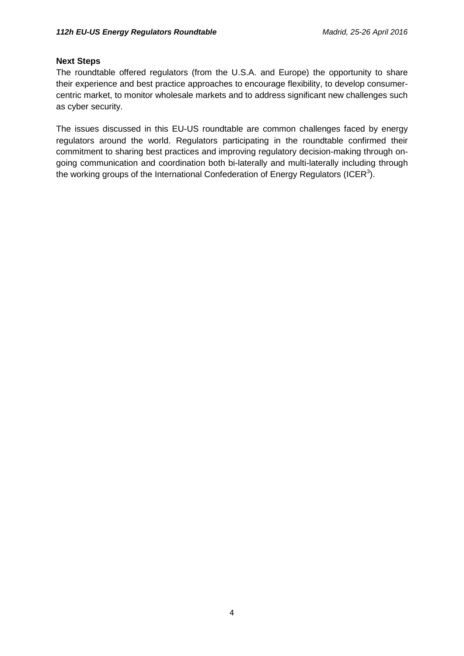#### **Next Steps**

The roundtable offered regulators (from the U.S.A. and Europe) the opportunity to share their experience and best practice approaches to encourage flexibility, to develop consumercentric market, to monitor wholesale markets and to address significant new challenges such as cyber security.

The issues discussed in this EU-US roundtable are common challenges faced by energy regulators around the world. Regulators participating in the roundtable confirmed their commitment to sharing best practices and improving regulatory decision-making through ongoing communication and coordination both bi-laterally and multi-laterally including through the working groups of the International Confederation of Energy [R](#page-4-1)egulators (ICER<sup>3</sup>).